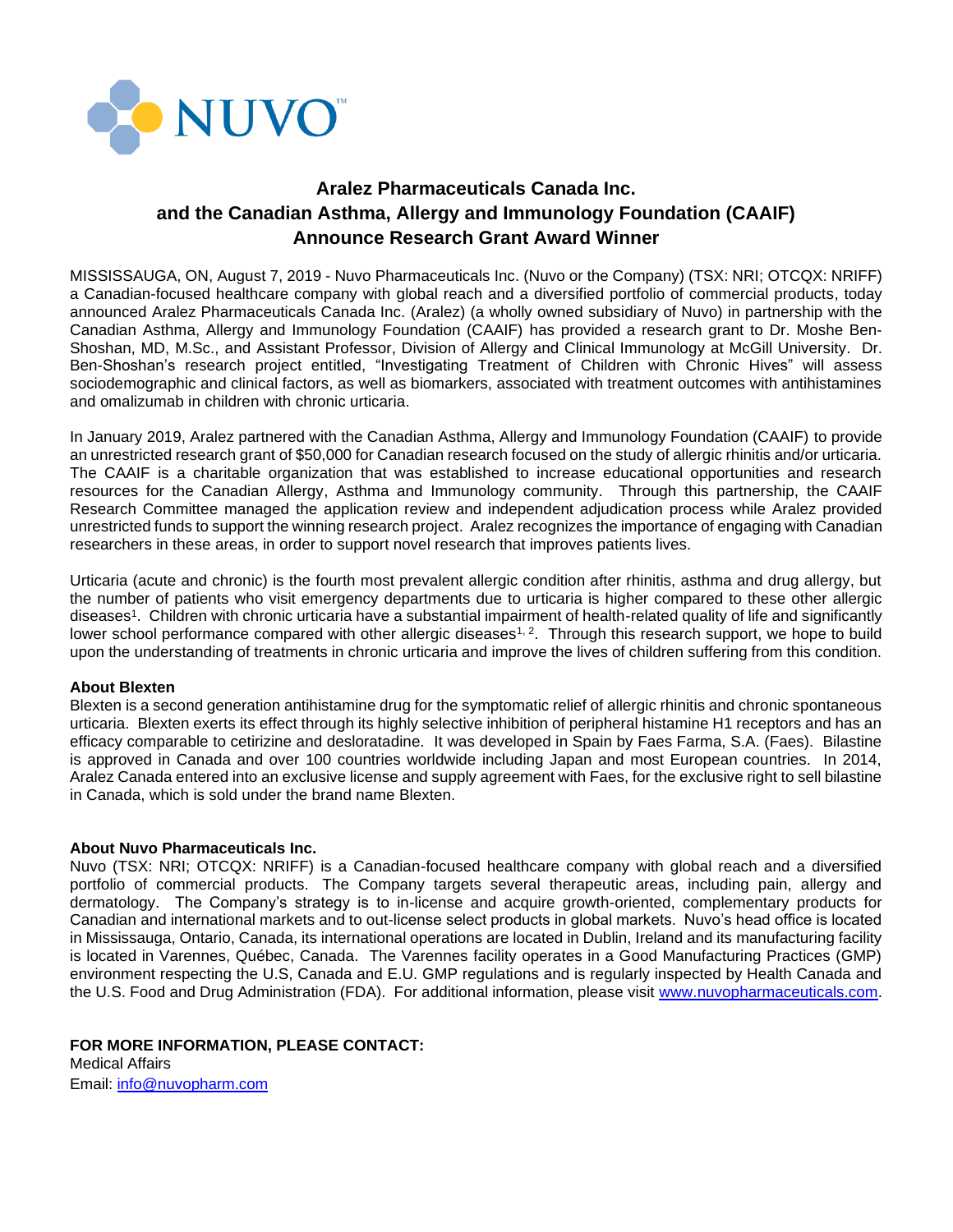

# **Aralez Pharmaceuticals Canada Inc. and the Canadian Asthma, Allergy and Immunology Foundation (CAAIF) Announce Research Grant Award Winner**

MISSISSAUGA, ON, August 7, 2019 - Nuvo Pharmaceuticals Inc. (Nuvo or the Company) (TSX: NRI; OTCQX: NRIFF) a Canadian-focused healthcare company with global reach and a diversified portfolio of commercial products, today announced Aralez Pharmaceuticals Canada Inc. (Aralez) (a wholly owned subsidiary of Nuvo) in partnership with the Canadian Asthma, Allergy and Immunology Foundation (CAAIF) has provided a research grant to Dr. Moshe Ben-Shoshan, MD, M.Sc., and Assistant Professor, Division of Allergy and Clinical Immunology at McGill University. Dr. Ben-Shoshan's research project entitled, "Investigating Treatment of Children with Chronic Hives" will assess sociodemographic and clinical factors, as well as biomarkers, associated with treatment outcomes with antihistamines and omalizumab in children with chronic urticaria.

In January 2019, Aralez partnered with the Canadian Asthma, Allergy and Immunology Foundation (CAAIF) to provide an unrestricted research grant of \$50,000 for Canadian research focused on the study of allergic rhinitis and/or urticaria. The CAAIF is a charitable organization that was established to increase educational opportunities and research resources for the Canadian Allergy, Asthma and Immunology community. Through this partnership, the CAAIF Research Committee managed the application review and independent adjudication process while Aralez provided unrestricted funds to support the winning research project. Aralez recognizes the importance of engaging with Canadian researchers in these areas, in order to support novel research that improves patients lives.

Urticaria (acute and chronic) is the fourth most prevalent allergic condition after rhinitis, asthma and drug allergy, but the number of patients who visit emergency departments due to urticaria is higher compared to these other allergic diseases<sup>1</sup> . Children with chronic urticaria have a substantial impairment of health-related quality of life and significantly lower school performance compared with other allergic diseases<sup>1, 2</sup>. Through this research support, we hope to build upon the understanding of treatments in chronic urticaria and improve the lives of children suffering from this condition.

#### **About Blexten**

Blexten is a second generation antihistamine drug for the symptomatic relief of allergic rhinitis and chronic spontaneous urticaria. Blexten exerts its effect through its highly selective inhibition of peripheral histamine H1 receptors and has an efficacy comparable to cetirizine and desloratadine. It was developed in Spain by Faes Farma, S.A. (Faes). Bilastine is approved in Canada and over 100 countries worldwide including Japan and most European countries. In 2014, Aralez Canada entered into an exclusive license and supply agreement with Faes, for the exclusive right to sell bilastine in Canada, which is sold under the brand name Blexten.

#### **About Nuvo Pharmaceuticals Inc.**

Nuvo (TSX: NRI; OTCQX: NRIFF) is a Canadian-focused healthcare company with global reach and a diversified portfolio of commercial products. The Company targets several therapeutic areas, including pain, allergy and dermatology. The Company's strategy is to in-license and acquire growth-oriented, complementary products for Canadian and international markets and to out-license select products in global markets. Nuvo's head office is located in Mississauga, Ontario, Canada, its international operations are located in Dublin, Ireland and its manufacturing facility is located in Varennes, Québec, Canada. The Varennes facility operates in a Good Manufacturing Practices (GMP) environment respecting the U.S, Canada and E.U. GMP regulations and is regularly inspected by Health Canada and the U.S. Food and Drug Administration (FDA). For additional information, please visit [www.nuvopharmaceuticals.com.](http://www.nuvopharmaceuticals.com/)

## **FOR MORE INFORMATION, PLEASE CONTACT:**

Medical Affairs Email: [info@nuvopharm.com](mailto:info@nuvopharm.com)